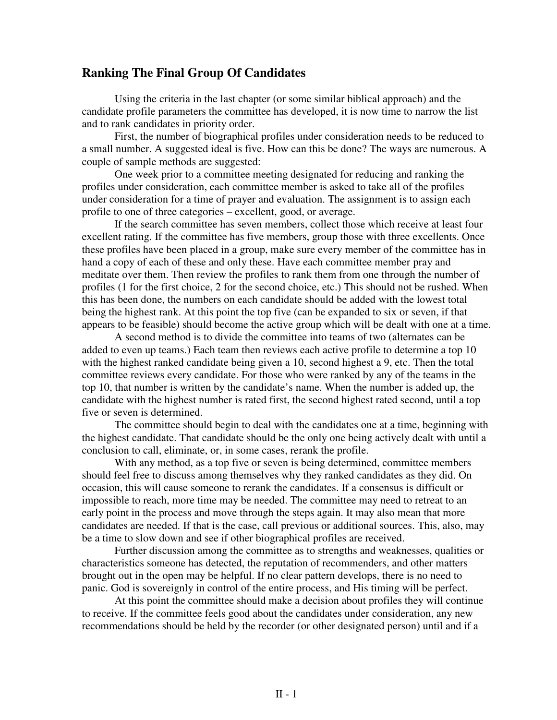## **Ranking The Final Group Of Candidates**

Using the criteria in the last chapter (or some similar biblical approach) and the candidate profile parameters the committee has developed, it is now time to narrow the list and to rank candidates in priority order.

First, the number of biographical profiles under consideration needs to be reduced to a small number. A suggested ideal is five. How can this be done? The ways are numerous. A couple of sample methods are suggested:

One week prior to a committee meeting designated for reducing and ranking the profiles under consideration, each committee member is asked to take all of the profiles under consideration for a time of prayer and evaluation. The assignment is to assign each profile to one of three categories – excellent, good, or average.

If the search committee has seven members, collect those which receive at least four excellent rating. If the committee has five members, group those with three excellents. Once these profiles have been placed in a group, make sure every member of the committee has in hand a copy of each of these and only these. Have each committee member pray and meditate over them. Then review the profiles to rank them from one through the number of profiles (1 for the first choice, 2 for the second choice, etc.) This should not be rushed. When this has been done, the numbers on each candidate should be added with the lowest total being the highest rank. At this point the top five (can be expanded to six or seven, if that appears to be feasible) should become the active group which will be dealt with one at a time.

A second method is to divide the committee into teams of two (alternates can be added to even up teams.) Each team then reviews each active profile to determine a top 10 with the highest ranked candidate being given a 10, second highest a 9, etc. Then the total committee reviews every candidate. For those who were ranked by any of the teams in the top 10, that number is written by the candidate's name. When the number is added up, the candidate with the highest number is rated first, the second highest rated second, until a top five or seven is determined.

The committee should begin to deal with the candidates one at a time, beginning with the highest candidate. That candidate should be the only one being actively dealt with until a conclusion to call, eliminate, or, in some cases, rerank the profile.

With any method, as a top five or seven is being determined, committee members should feel free to discuss among themselves why they ranked candidates as they did. On occasion, this will cause someone to rerank the candidates. If a consensus is difficult or impossible to reach, more time may be needed. The committee may need to retreat to an early point in the process and move through the steps again. It may also mean that more candidates are needed. If that is the case, call previous or additional sources. This, also, may be a time to slow down and see if other biographical profiles are received.

Further discussion among the committee as to strengths and weaknesses, qualities or characteristics someone has detected, the reputation of recommenders, and other matters brought out in the open may be helpful. If no clear pattern develops, there is no need to panic. God is sovereignly in control of the entire process, and His timing will be perfect.

At this point the committee should make a decision about profiles they will continue to receive. If the committee feels good about the candidates under consideration, any new recommendations should be held by the recorder (or other designated person) until and if a